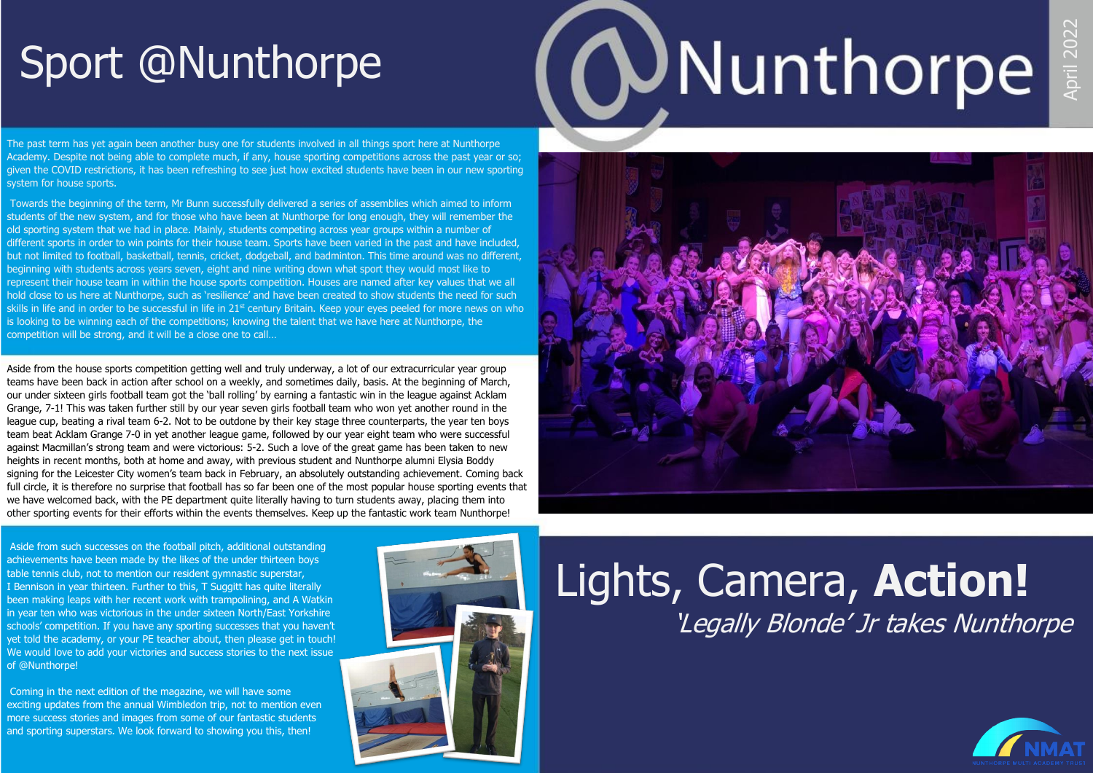# Lights, Camera, **Action!**







## Sport @Nunthorpe

The past term has yet again been another busy one for students involved in all things sport here at Nunthorpe Academy. Despite not being able to complete much, if any, house sporting competitions across the past year or so; given the COVID restrictions, it has been refreshing to see just how excited students have been in our new sporting system for house sports.

Towards the beginning of the term, Mr Bunn successfully delivered a series of assemblies which aimed to inform students of the new system, and for those who have been at Nunthorpe for long enough, they will remember the old sporting system that we had in place. Mainly, students competing across year groups within a number of different sports in order to win points for their house team. Sports have been varied in the past and have included, but not limited to football, basketball, tennis, cricket, dodgeball, and badminton. This time around was no different, beginning with students across years seven, eight and nine writing down what sport they would most like to represent their house team in within the house sports competition. Houses are named after key values that we all hold close to us here at Nunthorpe, such as 'resilience' and have been created to show students the need for such skills in life and in order to be successful in life in 21<sup>st</sup> century Britain. Keep your eyes peeled for more news on who is looking to be winning each of the competitions; knowing the talent that we have here at Nunthorpe, the competition will be strong, and it will be a close one to call…

Aside from the house sports competition getting well and truly underway, a lot of our extracurricular year group teams have been back in action after school on a weekly, and sometimes daily, basis. At the beginning of March, our under sixteen girls football team got the 'ball rolling' by earning a fantastic win in the league against Acklam Grange, 7-1! This was taken further still by our year seven girls football team who won yet another round in the league cup, beating a rival team 6-2. Not to be outdone by their key stage three counterparts, the year ten boys team beat Acklam Grange 7-0 in yet another league game, followed by our year eight team who were successful against Macmillan's strong team and were victorious: 5-2. Such a love of the great game has been taken to new heights in recent months, both at home and away, with previous student and Nunthorpe alumni Elysia Boddy signing for the Leicester City women's team back in February, an absolutely outstanding achievement. Coming back full circle, it is therefore no surprise that football has so far been one of the most popular house sporting events that we have welcomed back, with the PE department quite literally having to turn students away, placing them into other sporting events for their efforts within the events themselves. Keep up the fantastic work team Nunthorpe!

Aside from such successes on the football pitch, additional outstanding achievements have been made by the likes of the under thirteen boys table tennis club, not to mention our resident gymnastic superstar, I Bennison in year thirteen. Further to this, T Suggitt has quite literally been making leaps with her recent work with trampolining, and A Watkin in year ten who was victorious in the under sixteen North/East Yorkshire schools' competition. If you have any sporting successes that you haven't yet told the academy, or your PE teacher about, then please get in touch! We would love to add your victories and success stories to the next issue of @Nunthorpe!

Coming in the next edition of the magazine, we will have some exciting updates from the annual Wimbledon trip, not to mention even more success stories and images from some of our fantastic students and sporting superstars. We look forward to showing you this, then!